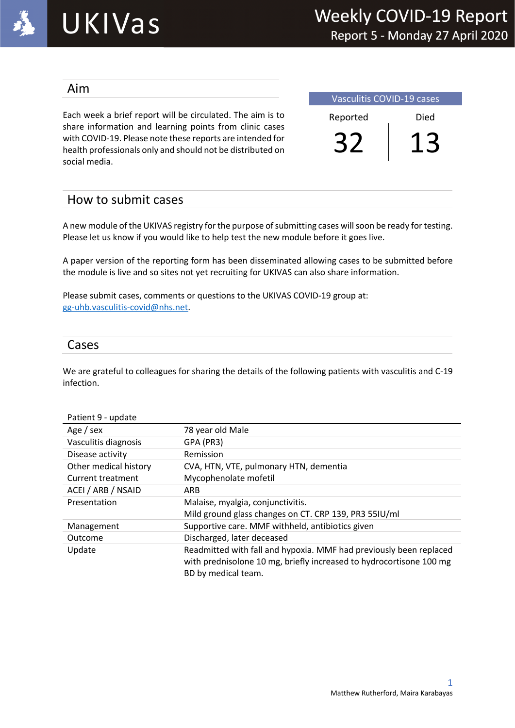

### Aim

Each week a brief report will be circulated. The aim is to share information and learning points from clinic cases with COVID-19. Please note these reports are intended for health professionals only and should not be distributed on social media.

| <b>Vasculitis COVID-19 cases</b> |      |  |  |
|----------------------------------|------|--|--|
| Reported                         | Died |  |  |
|                                  |      |  |  |

### How to submit cases

A new module of the UKIVAS registry for the purpose of submitting cases will soon be ready for testing. Please let us know if you would like to help test the new module before it goes live.

A paper version of the reporting form has been disseminated allowing cases to be submitted before the module is live and so sites not yet recruiting for UKIVAS can also share information.

Please submit cases, comments or questions to the UKIVAS COVID-19 group at: gg-uhb.vasculitis-covid@nhs.net.

### Cases

We are grateful to colleagues for sharing the details of the following patients with vasculitis and C-19 infection.

| Patient 9 - update    |                                                                                                                                                                  |
|-----------------------|------------------------------------------------------------------------------------------------------------------------------------------------------------------|
| Age / sex             | 78 year old Male                                                                                                                                                 |
| Vasculitis diagnosis  | GPA (PR3)                                                                                                                                                        |
| Disease activity      | Remission                                                                                                                                                        |
| Other medical history | CVA, HTN, VTE, pulmonary HTN, dementia                                                                                                                           |
| Current treatment     | Mycophenolate mofetil                                                                                                                                            |
| ACEI / ARB / NSAID    | <b>ARB</b>                                                                                                                                                       |
| Presentation          | Malaise, myalgia, conjunctivitis.                                                                                                                                |
|                       | Mild ground glass changes on CT. CRP 139, PR3 55IU/ml                                                                                                            |
| Management            | Supportive care. MMF withheld, antibiotics given                                                                                                                 |
| Outcome               | Discharged, later deceased                                                                                                                                       |
| Update                | Readmitted with fall and hypoxia. MMF had previously been replaced<br>with prednisolone 10 mg, briefly increased to hydrocortisone 100 mg<br>BD by medical team. |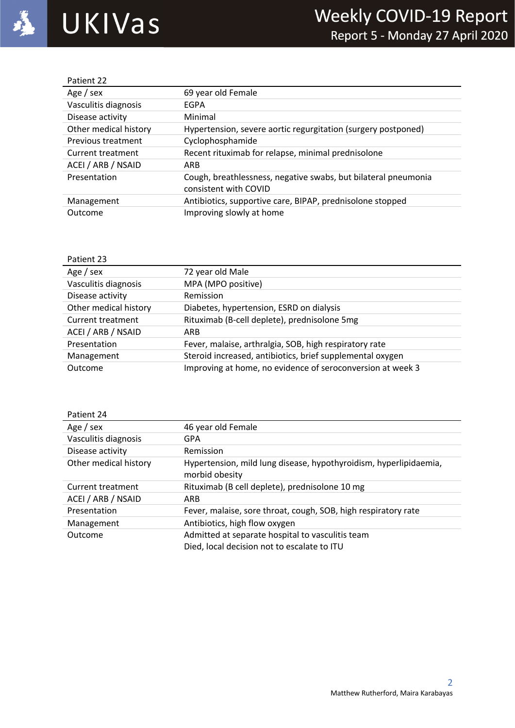| Patient 22            |                                                                |
|-----------------------|----------------------------------------------------------------|
| Age / sex             | 69 year old Female                                             |
| Vasculitis diagnosis  | EGPA                                                           |
| Disease activity      | Minimal                                                        |
| Other medical history | Hypertension, severe aortic regurgitation (surgery postponed)  |
| Previous treatment    | Cyclophosphamide                                               |
| Current treatment     | Recent rituximab for relapse, minimal prednisolone             |
| ACEI / ARB / NSAID    | <b>ARB</b>                                                     |
| Presentation          | Cough, breathlessness, negative swabs, but bilateral pneumonia |
|                       | consistent with COVID                                          |
| Management            | Antibiotics, supportive care, BIPAP, prednisolone stopped      |
| Outcome               | Improving slowly at home                                       |

| Patient 23            |                                                            |
|-----------------------|------------------------------------------------------------|
| Age / sex             | 72 year old Male                                           |
| Vasculitis diagnosis  | MPA (MPO positive)                                         |
| Disease activity      | Remission                                                  |
| Other medical history | Diabetes, hypertension, ESRD on dialysis                   |
| Current treatment     | Rituximab (B-cell deplete), prednisolone 5mg               |
| ACEI / ARB / NSAID    | <b>ARB</b>                                                 |
| Presentation          | Fever, malaise, arthralgia, SOB, high respiratory rate     |
| Management            | Steroid increased, antibiotics, brief supplemental oxygen  |
| Outcome               | Improving at home, no evidence of seroconversion at week 3 |
|                       |                                                            |

| Patient 24            |                                                                                                 |
|-----------------------|-------------------------------------------------------------------------------------------------|
| Age / sex             | 46 year old Female                                                                              |
| Vasculitis diagnosis  | GPA                                                                                             |
| Disease activity      | Remission                                                                                       |
| Other medical history | Hypertension, mild lung disease, hypothyroidism, hyperlipidaemia,<br>morbid obesity             |
| Current treatment     | Rituximab (B cell deplete), prednisolone 10 mg                                                  |
| ACEI / ARB / NSAID    | ARB                                                                                             |
| Presentation          | Fever, malaise, sore throat, cough, SOB, high respiratory rate                                  |
| Management            | Antibiotics, high flow oxygen                                                                   |
| Outcome               | Admitted at separate hospital to vasculitis team<br>Died, local decision not to escalate to ITU |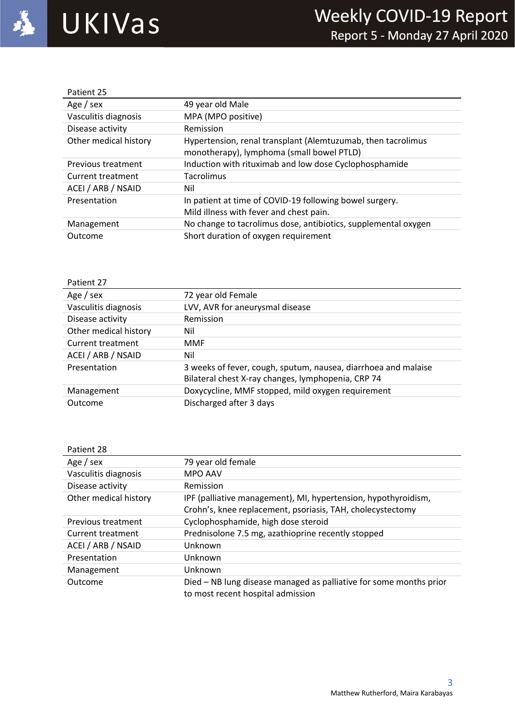| Patient 25            |                                                                |
|-----------------------|----------------------------------------------------------------|
| Age / sex             | 49 year old Male                                               |
| Vasculitis diagnosis  | MPA (MPO positive)                                             |
| Disease activity      | Remission                                                      |
| Other medical history | Hypertension, renal transplant (Alemtuzumab, then tacrolimus   |
|                       | monotherapy), lymphoma (small bowel PTLD)                      |
| Previous treatment    | Induction with rituximab and low dose Cyclophosphamide         |
| Current treatment     | Tacrolimus                                                     |
| ACEI / ARB / NSAID    | Nil                                                            |
| Presentation          | In patient at time of COVID-19 following bowel surgery.        |
|                       | Mild illness with fever and chest pain.                        |
| Management            | No change to tacrolimus dose, antibiotics, supplemental oxygen |
| Outcome               | Short duration of oxygen requirement                           |

| Patient 27            |                                                                                                                      |
|-----------------------|----------------------------------------------------------------------------------------------------------------------|
| Age / sex             | 72 year old Female                                                                                                   |
| Vasculitis diagnosis  | LVV, AVR for aneurysmal disease                                                                                      |
| Disease activity      | Remission                                                                                                            |
| Other medical history | Nil                                                                                                                  |
| Current treatment     | MMF                                                                                                                  |
| ACEI / ARB / NSAID    | Nil                                                                                                                  |
| Presentation          | 3 weeks of fever, cough, sputum, nausea, diarrhoea and malaise<br>Bilateral chest X-ray changes, lymphopenia, CRP 74 |
| Management            | Doxycycline, MMF stopped, mild oxygen requirement                                                                    |
| Outcome               | Discharged after 3 days                                                                                              |

| Patient 28            |                                                                    |
|-----------------------|--------------------------------------------------------------------|
| Age / sex             | 79 year old female                                                 |
| Vasculitis diagnosis  | <b>MPO AAV</b>                                                     |
| Disease activity      | Remission                                                          |
| Other medical history | IPF (palliative management), MI, hypertension, hypothyroidism,     |
|                       | Crohn's, knee replacement, psoriasis, TAH, cholecystectomy         |
| Previous treatment    | Cyclophosphamide, high dose steroid                                |
| Current treatment     | Prednisolone 7.5 mg, azathioprine recently stopped                 |
| ACEI / ARB / NSAID    | Unknown                                                            |
| Presentation          | Unknown                                                            |
| Management            | Unknown                                                            |
| Outcome               | Died – NB lung disease managed as palliative for some months prior |
|                       | to most recent hospital admission                                  |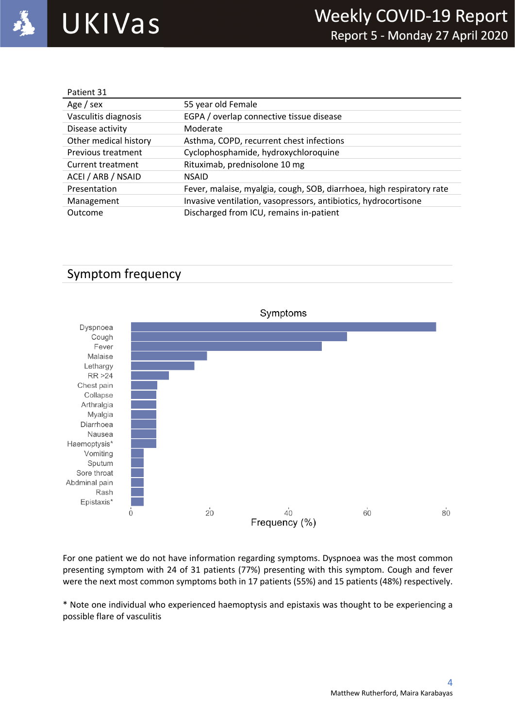| Patient 31            |                                                                       |
|-----------------------|-----------------------------------------------------------------------|
| Age / sex             | 55 year old Female                                                    |
| Vasculitis diagnosis  | EGPA / overlap connective tissue disease                              |
| Disease activity      | Moderate                                                              |
| Other medical history | Asthma, COPD, recurrent chest infections                              |
| Previous treatment    | Cyclophosphamide, hydroxychloroquine                                  |
| Current treatment     | Rituximab, prednisolone 10 mg                                         |
| ACEI / ARB / NSAID    | <b>NSAID</b>                                                          |
| Presentation          | Fever, malaise, myalgia, cough, SOB, diarrhoea, high respiratory rate |
| Management            | Invasive ventilation, vasopressors, antibiotics, hydrocortisone       |
| Outcome               | Discharged from ICU, remains in-patient                               |

## Symptom frequency



For one patient we do not have information regarding symptoms. Dyspnoea was the most common presenting symptom with 24 of 31 patients (77%) presenting with this symptom. Cough and fever were the next most common symptoms both in 17 patients (55%) and 15 patients (48%) respectively.

\* Note one individual who experienced haemoptysis and epistaxis was thought to be experiencing a possible flare of vasculitis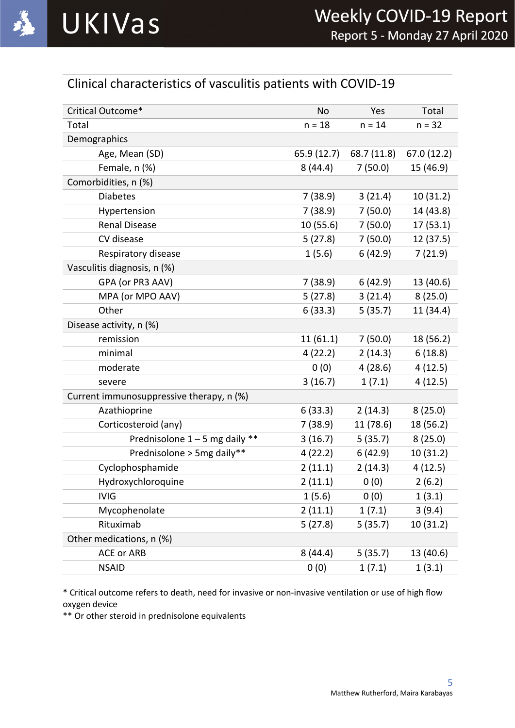# Clinical characteristics of vasculitis patients with COVID-19

| Critical Outcome*                        | <b>No</b>   | Yes         | Total       |
|------------------------------------------|-------------|-------------|-------------|
| Total                                    | $n = 18$    | $n = 14$    | $n = 32$    |
| Demographics                             |             |             |             |
| Age, Mean (SD)                           | 65.9 (12.7) | 68.7 (11.8) | 67.0 (12.2) |
| Female, n (%)                            | 8(44.4)     | 7(50.0)     | 15 (46.9)   |
| Comorbidities, n (%)                     |             |             |             |
| <b>Diabetes</b>                          | 7(38.9)     | 3(21.4)     | 10 (31.2)   |
| Hypertension                             | 7(38.9)     | 7(50.0)     | 14 (43.8)   |
| <b>Renal Disease</b>                     | 10(55.6)    | 7(50.0)     | 17(53.1)    |
| CV disease                               | 5(27.8)     | 7(50.0)     | 12 (37.5)   |
| Respiratory disease                      | 1(5.6)      | 6(42.9)     | 7(21.9)     |
| Vasculitis diagnosis, n (%)              |             |             |             |
| GPA (or PR3 AAV)                         | 7(38.9)     | 6(42.9)     | 13 (40.6)   |
| MPA (or MPO AAV)                         | 5(27.8)     | 3(21.4)     | 8(25.0)     |
| Other                                    | 6(33.3)     | 5(35.7)     | 11 (34.4)   |
| Disease activity, n (%)                  |             |             |             |
| remission                                | 11(61.1)    | 7(50.0)     | 18 (56.2)   |
| minimal                                  | 4(22.2)     | 2(14.3)     | 6(18.8)     |
| moderate                                 | 0(0)        | 4(28.6)     | 4(12.5)     |
| severe                                   | 3(16.7)     | 1(7.1)      | 4(12.5)     |
| Current immunosuppressive therapy, n (%) |             |             |             |
| Azathioprine                             | 6(33.3)     | 2(14.3)     | 8(25.0)     |
| Corticosteroid (any)                     | 7(38.9)     | 11 (78.6)   | 18 (56.2)   |
| Prednisolone $1 - 5$ mg daily **         | 3(16.7)     | 5(35.7)     | 8(25.0)     |
| Prednisolone > 5mg daily**               | 4(22.2)     | 6(42.9)     | 10 (31.2)   |
| Cyclophosphamide                         | 2(11.1)     | 2(14.3)     | 4(12.5)     |
| Hydroxychloroquine                       | 2(11.1)     | 0(0)        | 2(6.2)      |
| <b>IVIG</b>                              | 1(5.6)      | 0(0)        | 1(3.1)      |
| Mycophenolate                            | 2(11.1)     | 1(7.1)      | 3(9.4)      |
| Rituximab                                | 5(27.8)     | 5(35.7)     | 10 (31.2)   |
| Other medications, n (%)                 |             |             |             |
| <b>ACE or ARB</b>                        | 8(44.4)     | 5(35.7)     | 13 (40.6)   |
| <b>NSAID</b>                             | 0(0)        | 1(7.1)      | 1(3.1)      |

\* Critical outcome refers to death, need for invasive or non-invasive ventilation or use of high flow oxygen device

\*\* Or other steroid in prednisolone equivalents